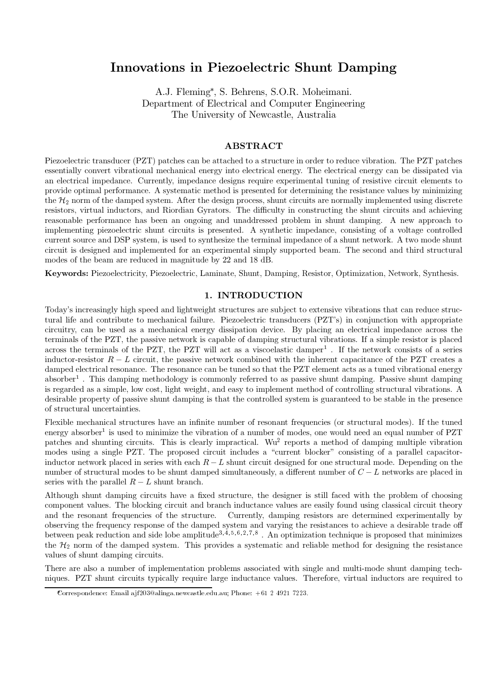# Innovations in Piezoelectric Shunt Damping

A.J. Fleming\*, S. Behrens, S.O.R. Moheimani. Department of Electrical and Computer Engineering The University of Newcastle, Australia

# **ABSTRACT**

Piezoelectric transducer (PZT) patches can be attached to a structure in order to reduce vibration. The PZT patches essentially convert vibrational mechanical energy into electrical energy. The electrical energy can be dissipated via an electrical impedance. Currently, impedance designs require experimental tuning of resistive circuit elements to provide optimal performance. A systematic method is presented for determining the resistance values by minimizing the  $\mathcal{H}_2$  norm of the damped system. After the design process, shunt circuits are normally implemented using discrete resistors, virtual inductors, and Riordian Gyrators. The difficulty in constructing the shunt circuits and achieving reasonable performance has been an ongoing and unaddressed problem in shunt damping. A new approach to implementing piezoelectric shunt circuits is presented. A synthetic impedance, consisting of a voltage controlled current source and DSP system, is used to synthesize the terminal impedance of a shunt network. A two mode shunt circuit is designed and implemented for an experimental simply supported beam. The second and third structural modes of the beam are reduced in magnitude by 22 and 18 dB.

Keywords: Piezoelectricity, Piezoelectric, Laminate, Shunt, Damping, Resistor, Optimization, Network, Synthesis.

## 1. INTRODUCTION

Today's increasingly high speed and lightweight structures are subject to extensive vibrations that can reduce structural life and contribute to mechanical failure. Piezoelectric transducers (PZT's) in conjunction with appropriate circuitry, can be used as a mechanical energy dissipation device. By placing an electrical impedance across the terminals of the PZT, the passive network is capable of damping structural vibrations. If a simple resistor is placed across the terminals of the PZT, the PZT will act as a viscoelastic damper<sup>1</sup>. If the network consists of a series inductor-resistor  $R-L$  circuit, the passive network combined with the inherent capacitance of the PZT creates a damped electrical resonance. The resonance can be tuned so that the PZT element acts as a tuned vibrational energy  $\alpha$  absorber<sup>1</sup>. This damping methodology is commonly referred to as passive shunt damping. Passive shunt damping is regarded as a simple, low cost, light weight, and easy to implement method of controlling structural vibrations. A desirable property of passive shunt damping is that the controlled system is guaranteed to be stable in the presence of structural uncertainties.

Flexible mechanical structures have an infinite number of resonant frequencies (or structural modes). If the tuned energy absorber<sup>1</sup> is used to minimize the vibration of a number of modes, one would need an equal number of PZT patches and shunting circuits. This is clearly impractical. Wu<sup>2</sup> reports a method of damping multiple vibration modes using a single PZT. The proposed circuit includes a "current blocker" consisting of a parallel capacitorinductor network placed in series with each  $R-L$  shunt circuit designed for one structural mode. Depending on the number of structural modes to be shunt damped simultaneously, a different number of  $C-L$  networks are placed in series with the parallel  $R-L$  shunt branch.

Although shunt damping circuits have a fixed structure, the designer is still faced with the problem of choosing component values. The blocking circuit and branch inductance values are easily found using classical circuit theory and the resonant frequencies of the structure. Currently, damping resistors are determined experimentally by observing the frequency response of the damped system and varying the resistances to achieve a desirable trade off between peak reduction and side lobe amplitude<sup>3,  $\tilde{4}$ ,  $5, 6, 2, 7, 8$ . An optimization technique is proposed that minimizes</sup> the  $H_2$  norm of the damped system. This provides a systematic and reliable method for designing the resistance values of shunt damping circuits.

There are also a number of implementation problems associated with single and multi-mode shunt damping techniques. PZT shunt circuits typically require large inductance values. Therefore, virtual inductors are required to

Correspondence: Email ajf203@alinga.newcastle.edu.au; Phone: +61 2 4921 7223.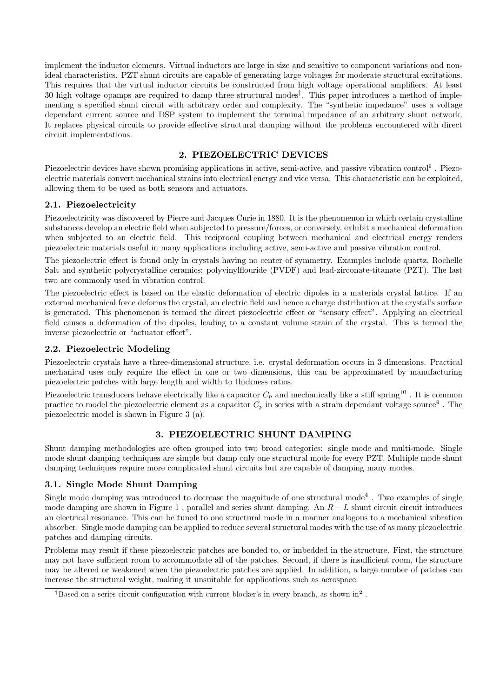implement the inductor elements. Virtual inductors are large in size and sensitive to component variations and nonideal characteristics. PZT shunt circuits are capable of generating large voltages for moderate structural excitations. This requires that the virtual inductor circuits be constructed from high voltage operational amplifiers. At least 30 high voltage opamps are required to damp three structural modes<sup>†</sup>. This paper introduces a method of implementing a specified shunt circuit with arbitrary order and complexity. The "synthetic impedance" uses a voltage dependant current source and DSP system to implement the terminal impedance of an arbitrary shunt network. It replaces physical circuits to provide effective structural damping without the problems encountered with direct circuit implementations.

# 2. PIEZOELECTRIC DEVICES

Piezoelectric devices have shown promising applications in active, semi-active, and passive vibration control<sup>9</sup>. Piezoelectric materials convert mechanical strains into electrical energy and vice versa. This characteristic can be exploited, allowing them to be used as both sensors and actuators.

# 2.1. Piezoelectricity

Piezoelectricity was discovered by Pierre and Jacques Curie in 1880. It is the phenomenon in which certain crystalline substances develop an electric field when subjected to pressure/forces, or conversely, exhibit a mechanical deformation when subjected to an electric field. This reciprocal coupling between mechanical and electrical energy renders piezoelectric materials useful in many applications including active, semi-active and passive vibration control.

The piezoelectric effect is found only in crystals having no center of symmetry. Examples include quartz, Rochelle Salt and synthetic polycrystalline ceramics; polyvinylflouride (PVDF) and lead-zirconate-titanate (PZT). The last two are commonly used in vibration control.

The piezoelectric effect is based on the elastic deformation of electric dipoles in a materials crystal lattice. If an external mechanical force deforms the crystal, an electric field and hence a charge distribution at the crystal's surface is generated. This phenomenon is termed the direct piezoelectric effect or "sensory effect". Applying an electrical field causes a deformation of the dipoles, leading to a constant volume strain of the crystal. This is termed the inverse piezoelectric or "actuator effect".

# 2.2. Piezoelectric Modeling

Piezoelectric crystals have a three-dimensional structure, i.e. crystal deformation occurs in 3 dimensions. Practical mechanical uses only require the effect in one or two dimensions, this can be approximated by manufacturing piezoelectric patches with large length and width to thickness ratios.

Piezoelectric transducers behave electrically like a capacitor  $C_n$  and mechanically like a stiff spring<sup>10</sup>. It is common practice to model the piezoelectric element as a capacitor  $C_p$  in series with a strain dependant voltage source<sup>4</sup>. The piezoelectric model is shown in Figure  $3$  (a).

# 3. PIEZOELECTRIC SHUNT DAMPING

Shunt damping methodologies are often grouped into two broad categories: single mode and multi-mode. Single mode shunt damping techniques are simple but damp only one structural mode for every PZT. Multiple mode shunt damping techniques require more complicated shunt circuits but are capable of damping many modes.

# 3.1. Single Mode Shunt Damping

Single mode damping was introduced to decrease the magnitude of one structural mode<sup>4</sup>. Two examples of single mode damping are shown in Figure 1, parallel and series shunt damping. An  $R-L$  shunt circuit circuit introduces an electrical resonance. This can be tuned to one structural mode in a manner analogous to a mechanical vibration absorber. Single mode damping can be applied to reduce several structural modes with the use of as many piezoelectric patches and damping circuits.

Problems may result if these piezoelectric patches are bonded to, or imbedded in the structure. First, the structure may not have sufficient room to accommodate all of the patches. Second, if there is insufficient room, the structure may be altered or weakened when the piezoelectric patches are applied. In addition, a large number of patches can increase the structural weight, making it unsuitable for applications such as aerospace.

<sup>&</sup>lt;sup>†</sup>Based on a series circuit configuration with current blocker's in every branch, as shown in<sup>2</sup>.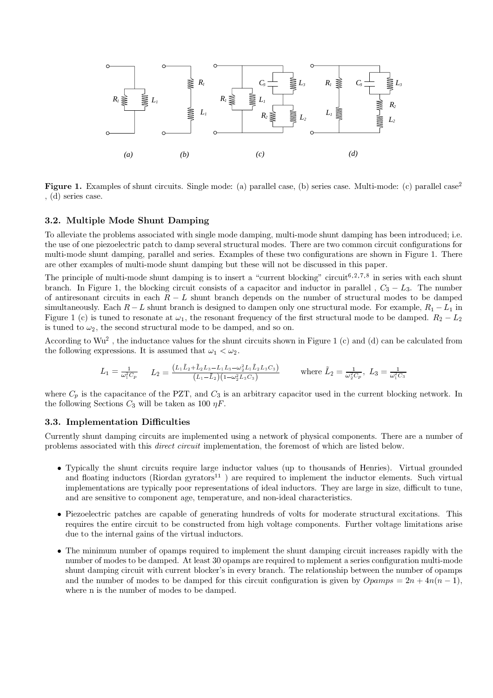

**Figure 1.** Examples of shunt circuits. Single mode: (a) parallel case, (b) series case. Multi-mode: (c) parallel case<sup>2</sup>  $, (d)$  series case.

## 3.2. Multiple Mode Shunt Damping

To alleviate the problems associated with single mode damping, multi-mode shunt damping has been introduced; i.e. the use of one piezoelectric patch to damp several structural modes. There are two common circuit configurations for multi-mode shunt damping, parallel and series. Examples of these two configurations are shown in Figure 1. There are other examples of multi-mode shunt damping but these will not be discussed in this paper.

The principle of multi-mode shunt damping is to insert a "current blocking" circuit<sup>6,2,7,8</sup> in series with each shunt branch. In Figure 1, the blocking circuit consists of a capacitor and inductor in parallel,  $C_3 - L_3$ . The number of antiresonant circuits in each  $R-L$  shunt branch depends on the number of structural modes to be damped simultaneously. Each  $R-L$  shunt branch is designed to dampen only one structural mode. For example,  $R_1-L_1$  in Figure 1 (c) is tuned to resonate at  $\omega_1$ , the resonant frequency of the first structural mode to be damped.  $R_2 - L_2$ is tuned to  $\omega_2$ , the second structural mode to be damped, and so on.

According to  $Wu^2$ , the inductance values for the shunt circuits shown in Figure 1 (c) and (d) can be calculated from the following expressions. It is assumed that  $\omega_1 < \omega_2$ .

$$
L_1 = \frac{1}{\omega_1^2 C_p} \qquad L_2 = \frac{(L_1 \tilde{L}_2 + \tilde{L}_2 L_3 - L_1 L_3 - \omega_2^2 L_1 \tilde{L}_2 L_3 C_3)}{(L_1 - \tilde{L}_2)(1 - \omega_2^2 L_3 C_3)} \qquad \text{where } \tilde{L}_2 = \frac{1}{\omega_2^2 C_p}, \ L_3 = \frac{1}{\omega_1^2 C_3}
$$

where  $C_p$  is the capacitance of the PZT, and  $C_3$  is an arbitrary capacitor used in the current blocking network. In the following Sections  $C_3$  will be taken as 100  $\eta F$ .

# 3.3. Implementation Difficulties

Currently shunt damping circuits are implemented using a network of physical components. There are a number of problems associated with this *direct circuit* implementation, the foremost of which are listed below.

- Typically the shunt circuits require large inductor values (up to thousands of Henries). Virtual grounded and floating inductors (Riordan gyrators<sup>11</sup>) are required to implement the inductor elements. Such virtual implementations are typically poor representations of ideal inductors. They are large in size, difficult to tune. and are sensitive to component age, temperature, and non-ideal characteristics.
- Piezoelectric patches are capable of generating hundreds of volts for moderate structural excitations. This requires the entire circuit to be constructed from high voltage components. Further voltage limitations arise due to the internal gains of the virtual inductors.
- $\bullet$  The minimum number of opamps required to implement the shunt damping circuit increases rapidly with the number of modes to be damped. At least 30 opamps are required to mplement a series configuration multi-mode shunt damping circuit with current blocker's in every branch. The relationship between the number of opamps and the number of modes to be damped for this circuit configuration is given by  $Opamps = 2n + 4n(n - 1)$ , where n is the number of modes to be damped.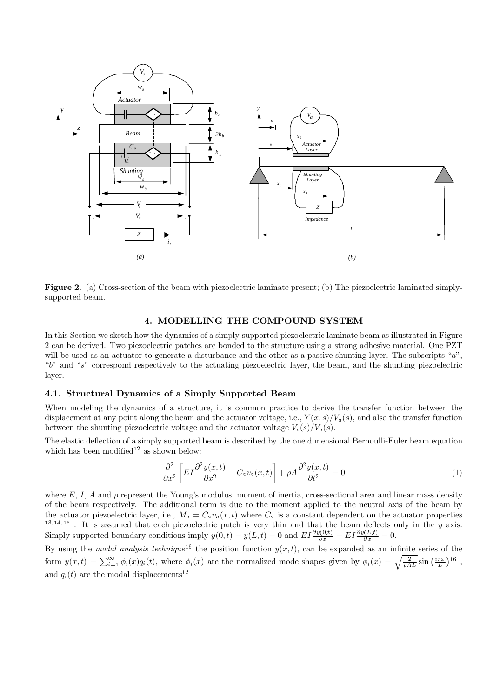

**Figure 2.** (a) Cross-section of the beam with piezoelectric laminate present; (b) The piezoelectric laminated simplysupported beam.

# 4. MODELLING THE COMPOUND SYSTEM

In this Section we sketch how the dynamics of a simply-supported piezoelectric laminate beam as illustrated in Figure 2 can be derived. Two piezoelectric patches are bonded to the structure using a strong adhesive material. One PZT will be used as an actuator to generate a disturbance and the other as a passive shunting layer. The subscripts "a", "b" and "s" correspond respectively to the actuating piezoelectric layer, the beam, and the shunting piezoelectric layer.

# 4.1. Structural Dynamics of a Simply Supported Beam

When modeling the dynamics of a structure, it is common practice to derive the transfer function between the displacement at any point along the beam and the actuator voltage, i.e.,  $Y(x, s)/V_a(s)$ , and also the transfer function between the shunting piezoelectric voltage and the actuator voltage  $V_s(s)/V_a(s)$ .

The elastic deflection of a simply supported beam is described by the one dimensional Bernoulli-Euler beam equation which has been modified<sup>12</sup> as shown below:

$$
\frac{\partial^2}{\partial x^2} \left[ EI \frac{\partial^2 y(x,t)}{\partial x^2} - C_a v_a(x,t) \right] + \rho A \frac{\partial^2 y(x,t)}{\partial t^2} = 0 \tag{1}
$$

where E, I, A and  $\rho$  represent the Young's modulus, moment of inertia, cross-sectional area and linear mass density of the beam respectively. The additional term is due to the moment applied to the neutral axis of the beam by the actuator piezoelectric layer, i.e.,  $M_a = C_a v_a(x,t)$  where  $C_a$  is a constant dependent on the actuator properties <sup>13,14,15</sup>. It is assumed that each piezoelectric patch is very thin and that the beam deflects only in the y axis.<br>Simply supported boundary conditions imply  $y(0,t) = y(L,t) = 0$  and  $EI \frac{\partial y(0,t)}{\partial x} = EI \frac{\partial y(L,t)}{\partial x} = 0$ .

By using the modal analysis technique<sup>16</sup> the position function  $y(x,t)$ , can be expanded as an infinite series of the form  $y(x,t) = \sum_{i=1}^{\infty} \phi_i(x) q_i(t)$ , where  $\phi_i(x)$  are the normalized mode shapes given by  $\phi_i(x) = \sqrt{\frac{2}{\rho A L}} \sin(\frac{i\pi x}{L})^{16}$ , and  $q_i(t)$  are the modal displacements<sup>12</sup>.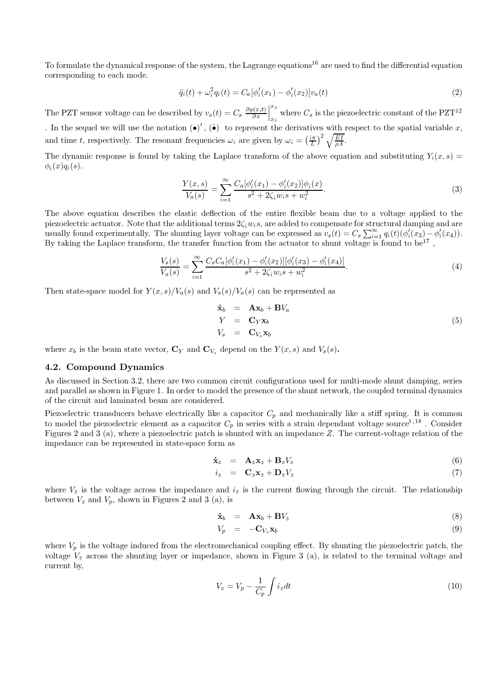To formulate the dynamical response of the system, the Lagrange equations<sup>16</sup> are used to find the differential equation corresponding to each mode.

$$
\ddot{q}_i(t) + \omega_i^2 q_i(t) = C_a[\phi_i'(x_1) - \phi_i'(x_2)]v_a(t)
$$
\n(2)

The PZT sensor voltage can be described by  $v_s(t) = C_s \left. \frac{\partial y(x,t)}{\partial x} \right|_{x=0}^{x=4}$  where  $C_s$  is the piezoelectric constant of the PZT<sup>12</sup> . In the sequel we will use the notation  $(\bullet)'$ ,  $(\bullet)$  to represent the derivatives with respect to the spatial variable x, and time t, respectively. The resonant frequencies  $\omega_i$  are given by  $\omega_i = \left(\frac{i\pi}{L}\right)^2 \sqrt{\frac{EI}{cA}}$ .

The dynamic response is found by taking the Laplace transform of the above equation and substituting  $Y_i(x, s) =$  $\phi_i(x)q_i(s)$ .

$$
\frac{Y(x,s)}{V_a(s)} = \sum_{i=1}^{\infty} \frac{C_a[\phi_i'(x_1) - \phi_i'(x_2)]\phi_i(x)}{s^2 + 2\zeta_i w_i s + w_i^2}.
$$
\n(3)

The above equation describes the elastic deflection of the entire flexible beam due to a voltage applied to the piezoelectric actuator. Note that the additional terms  $2\zeta_i w_i s$ , are added to compensate for structural damping and are usually found experimentally. The shunting layer voltage can be expressed as  $v_s(t) = C_s \sum_{i=1}^{\infty} q_i(t) (\phi'_i(x_3) - \phi'_i(x_4)).$ By taking the Laplace transform, the transfer function from the actuator to shunt voltage is found to be<sup>17</sup>,

$$
\frac{V_s(s)}{V_a(s)} = \sum_{i=1}^{\infty} \frac{C_s C_a [\phi_i'(x_1) - \phi_i'(x_2)][\phi_i'(x_3) - \phi_i'(x_4)]}{s^2 + 2\zeta_i w_i s + w_i^2}.
$$
\n(4)

Then state-space model for  $Y(x,s)/V_a(s)$  and  $V_s(s)/V_a(s)$  can be represented as

$$
\dot{\mathbf{x}}_b = \mathbf{A}\mathbf{x}_b + \mathbf{B}V_a \nY = \mathbf{C}_Y \mathbf{x}_b \nV_s = \mathbf{C}_{V_s} \mathbf{x}_b
$$
\n(5)

where  $x_b$  is the beam state vector,  $\mathbf{C}_Y$  and  $\mathbf{C}_{V_s}$  depend on the  $Y(x, s)$  and  $V_s(s)$ .

## 4.2. Compound Dynamics

As discussed in Section 3.2, there are two common circuit configurations used for multi-mode shunt damping, series and parallel as shown in Figure 1. In order to model the presence of the shunt network, the coupled terminal dynamics of the circuit and laminated beam are considered.

Piezoelectric transducers behave electrically like a capacitor  $C_p$  and mechanically like a stiff spring. It is common to model the piezoelectric element as a capacitor  $C_p$  in series with a strain dependant voltage source<sup>1,18</sup>. Consider Figures 2 and 3 (a), where a piezoelectric patch is shunted with an impedance  $Z$ . The current-voltage relation of the impedance can be represented in state-space form as

$$
\dot{\mathbf{x}}_z = \mathbf{A}_z \mathbf{x}_z + \mathbf{B}_z V_z \tag{6}
$$

$$
i_z = \mathbf{C}_z \mathbf{x}_z + \mathbf{D}_z V_z \tag{7}
$$

where  $V_z$  is the voltage across the impedance and  $i_z$  is the current flowing through the circuit. The relationship between  $V_z$  and  $V_p$ , shown in Figures 2 and 3 (a), is

$$
\dot{\mathbf{x}}_b = \mathbf{A}\mathbf{x}_b + \mathbf{B}V_z \tag{8}
$$

$$
V_p = -\mathbf{C}_{V_s} \mathbf{x}_b \tag{9}
$$

where  $V_p$  is the voltage induced from the electromechanical coupling effect. By shunting the piezoelectric patch, the voltage  $V_z$  across the shunting layer or impedance, shown in Figure 3 (a), is related to the terminal voltage and current by.

$$
V_z = V_p - \frac{1}{C_p} \int i_z dt
$$
\n(10)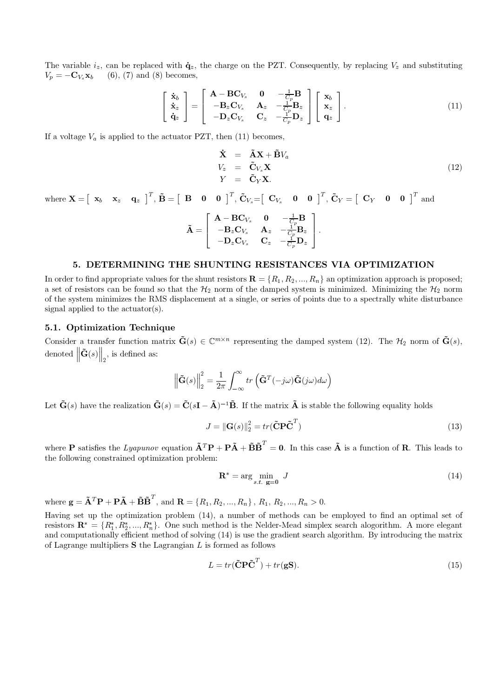The variable  $i_z$ , can be replaced with  $\dot{q}_z$ , the charge on the PZT. Consequently, by replacing  $V_z$  and substituting  $V_p = -\mathbf{C}_{V_s} \mathbf{x}_b$  $(6), (7)$  and  $(8)$  becomes,

$$
\begin{bmatrix} \dot{\mathbf{x}}_b \\ \dot{\mathbf{x}}_z \\ \dot{\mathbf{q}}_z \end{bmatrix} = \begin{bmatrix} \mathbf{A} - \mathbf{B}\mathbf{C}_{V_s} & \mathbf{0} & -\frac{1}{C_p}\mathbf{B} \\ -\mathbf{B}_z\mathbf{C}_{V_s} & \mathbf{A}_z & -\frac{1}{C_p}\mathbf{B}_z \\ -\mathbf{D}_z\mathbf{C}_{V_s} & \mathbf{C}_z & -\frac{1}{C_p}\mathbf{D}_z \end{bmatrix} \begin{bmatrix} \mathbf{x}_b \\ \mathbf{x}_z \\ \mathbf{q}_z \end{bmatrix} .
$$
 (11)

If a voltage  $V_a$  is applied to the actuator PZT, then (11) becomes,

$$
\dot{\mathbf{X}} = \tilde{\mathbf{A}} \mathbf{X} + \tilde{\mathbf{B}} V_a \nV_z = \tilde{\mathbf{C}}_{V_s} \mathbf{X} \nY = \tilde{\mathbf{C}}_{Y} \mathbf{X}.
$$
\n(12)

where  $\mathbf{X} = \begin{bmatrix} \mathbf{x}_b & \mathbf{x}_z & \mathbf{q}_z \end{bmatrix}^T$ ,  $\tilde{\mathbf{B}} = \begin{bmatrix} \mathbf{B} & \mathbf{0} & \mathbf{0} \end{bmatrix}^T$ ,  $\tilde{\mathbf{C}}_{V_s} = \begin{bmatrix} \mathbf{C}_{V_s} & \mathbf{0} & \mathbf{0} \end{bmatrix}^T$ ,  $\tilde{\mathbf{C}}_{Y} = \begin{bmatrix} \mathbf{C}_{Y} & \mathbf{0} & \mathbf{0} \end{bmatrix}^T$  and

$$
\tilde{\mathbf{A}} = \begin{bmatrix} \mathbf{A} - \mathbf{B} \mathbf{C}_{V_s} & \mathbf{0} & -\frac{1}{C_p} \mathbf{B} \\ -\mathbf{B}_z \mathbf{C}_{V_s} & \mathbf{A}_z & -\frac{1}{C_p} \mathbf{B}_z \\ -\mathbf{D}_z \mathbf{C}_{V_s} & \mathbf{C}_z & -\frac{1}{C_p} \mathbf{D}_z \end{bmatrix}
$$

## 5. DETERMINING THE SHUNTING RESISTANCES VIA OPTIMIZATION

In order to find appropriate values for the shunt resistors  $\mathbf{R} = \{R_1, R_2, ..., R_n\}$  an optimization approach is proposed; a set of resistors can be found so that the  $H_2$  norm of the damped system is minimized. Minimizing the  $H_2$  norm of the system minimizes the RMS displacement at a single, or series of points due to a spectrally white disturbance signal applied to the actuator(s).

### 5.1. Optimization Technique

Consider a transfer function matrix  $\tilde{\mathbf{G}}(s) \in \mathbb{C}^{m \times n}$  representing the damped system (12). The  $\mathcal{H}_2$  norm of  $\tilde{\mathbf{G}}(s)$ , denoted  $\left\|\tilde{\mathbf{G}}(s)\right\|_2$ , is defined as:

$$
\left\|\tilde{\mathbf{G}}(s)\right\|_{2}^{2} = \frac{1}{2\pi} \int_{-\infty}^{\infty} tr\left(\tilde{\mathbf{G}}^{T}(-j\omega)\tilde{\mathbf{G}}(j\omega)d\omega\right)
$$

Let  $\tilde{\mathbf{G}}(s)$  have the realization  $\tilde{\mathbf{G}}(s) = \tilde{\mathbf{C}}(s\mathbf{I} - \tilde{\mathbf{A}})^{-1}\tilde{\mathbf{B}}$ . If the matrix  $\tilde{\mathbf{A}}$  is stable the following equality holds

$$
J = \|\mathbf{G}(s)\|_2^2 = tr(\tilde{\mathbf{C}} \mathbf{P} \tilde{\mathbf{C}}^T)
$$
\n(13)

where **P** satisfies the Lyapunov equation  $\tilde{\mathbf{A}}^T \mathbf{P} + \mathbf{P} \tilde{\mathbf{A}} + \tilde{\mathbf{B}} \tilde{\mathbf{B}}^T = \mathbf{0}$ . In this case  $\tilde{\mathbf{A}}$  is a function of **R**. This leads to the following constrained optimization problem:

$$
\mathbf{R}^* = \arg\min_{s.t. \ \mathbf{g} = \mathbf{0}} J \tag{14}
$$

where  $\mathbf{g} = \tilde{\mathbf{A}}^T \mathbf{P} + \mathbf{P} \tilde{\mathbf{A}} + \tilde{\mathbf{B}} \tilde{\mathbf{B}}^T$ , and  $\mathbf{R} = \{R_1, R_2, ..., R_n\}$ ,  $R_1, R_2, ..., R_n > 0$ .

Having set up the optimization problem (14), a number of methods can be employed to find an optimal set of resistors  $\mathbf{R}^* = \{R_1^*, R_2^*, ..., R_n^*\}$ . One such method is the Nelder-Mead simplex search alogorithm. A more elegant and computationally efficient method of solving (14) is use the gradient search algorithm. By introducing the matrix of Lagrange multipliers  $S$  the Lagrangian  $L$  is formed as follows

$$
L = tr(\tilde{\mathbf{C}} \mathbf{P} \tilde{\mathbf{C}}^T) + tr(\mathbf{g} \mathbf{S}).\tag{15}
$$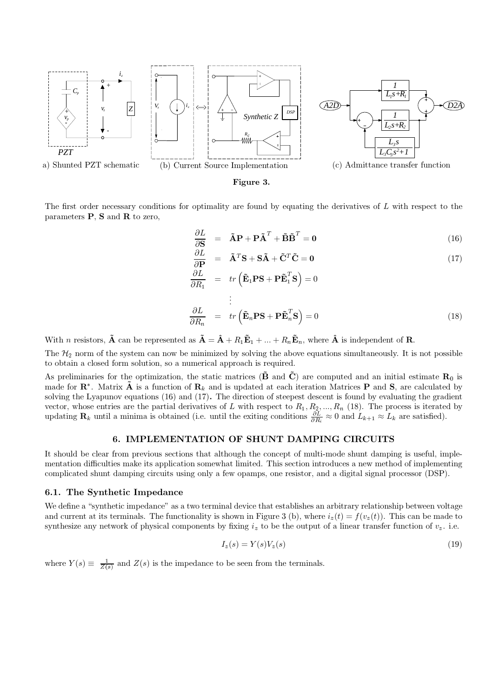

Figure 3.

The first order necessary conditions for optimality are found by equating the derivatives of L with respect to the parameters  $P$ ,  $S$  and  $R$  to zero,

$$
\frac{\partial L}{\partial \mathbf{S}} = \tilde{\mathbf{A}} \mathbf{P} + \mathbf{P} \tilde{\mathbf{A}}^T + \tilde{\mathbf{B}} \tilde{\mathbf{B}}^T = \mathbf{0}
$$
 (16)

$$
\frac{\partial L}{\partial \mathbf{P}} = \tilde{\mathbf{A}}^T \mathbf{S} + \mathbf{S} \tilde{\mathbf{A}} + \tilde{\mathbf{C}}^T \tilde{\mathbf{C}} = \mathbf{0} \tag{17}
$$

$$
\frac{\partial L}{\partial R_1} = tr \left( \tilde{\mathbf{E}}_1 \mathbf{PS} + \mathbf{P} \tilde{\mathbf{E}}_1^T \mathbf{S} \right) = 0
$$
  
\n
$$
\vdots
$$
  
\n
$$
\frac{\partial L}{\partial R_n} = tr \left( \tilde{\mathbf{E}}_n \mathbf{PS} + \mathbf{P} \tilde{\mathbf{E}}_n^T \mathbf{S} \right) = 0
$$
\n(18)

With *n* resistors,  $\tilde{\mathbf{A}}$  can be represented as  $\tilde{\mathbf{A}} = \hat{\mathbf{A}} + R_1 \tilde{\mathbf{E}}_1 + ... + R_n \tilde{\mathbf{E}}_n$ , where  $\hat{\mathbf{A}}$  is independent of **R**.

The  $\mathcal{H}_2$  norm of the system can now be minimized by solving the above equations simultaneously. It is not possible to obtain a closed form solution, so a numerical approach is required.

As preliminaries for the optimization, the static matrices ( $\tilde{\mathbf{B}}$  and  $\tilde{\mathbf{C}}$ ) are computed and an initial estimate  $\mathbf{R}_0$  is made for  $\mathbb{R}^*$ . Matrix  $\tilde{A}$  is a function of  $\mathbb{R}_k$  and is updated at each iteration Matrices P and S, are calculated by solving the Lyapunov equations  $(16)$  and  $(17)$ . The direction of steepest descent is found by evaluating the gradient vector, whose entries are the partial derivatives of L with respect to  $R_1, R_2, ..., R_n$  (18). The process is iterated by updating  $\mathbf{R}_k$  until a minima is obtained (i.e. until the exiting conditions  $\frac{\partial L}{\partial R_i} \approx 0$  and

# 6. IMPLEMENTATION OF SHUNT DAMPING CIRCUITS

It should be clear from previous sections that although the concept of multi-mode shunt damping is useful, implementation difficulties make its application somewhat limited. This section introduces a new method of implementing complicated shunt damping circuits using only a few opamps, one resistor, and a digital signal processor (DSP).

## 6.1. The Synthetic Impedance

We define a "synthetic impedance" as a two terminal device that establishes an arbitrary relationship between voltage and current at its terminals. The functionality is shown in Figure 3 (b), where  $i_z(t) = f(v_z(t))$ . This can be made to synthesize any network of physical components by fixing  $i_z$  to be the output of a linear transfer function of  $v_z$ . i.e.

$$
I_z(s) = Y(s)V_z(s) \tag{19}
$$

where  $Y(s) \equiv \frac{1}{Z(s)}$  and  $Z(s)$  is the impedance to be seen from the terminals.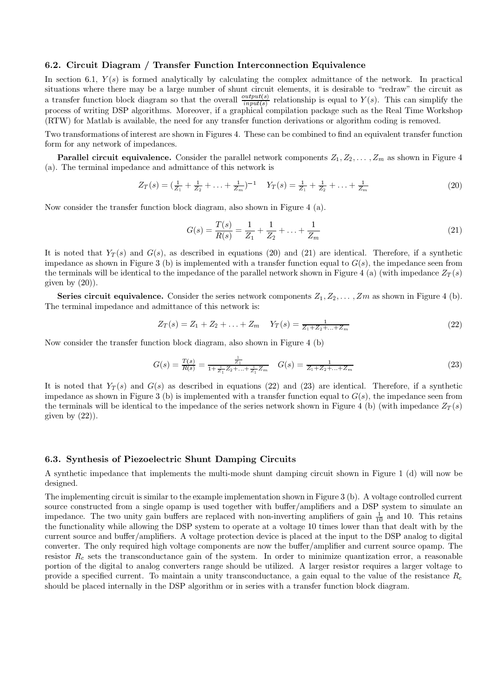### 6.2. Circuit Diagram / Transfer Function Interconnection Equivalence

In section 6.1,  $Y(s)$  is formed analytically by calculating the complex admittance of the network. In practical situations where there may be a large number of shunt circuit elements, it is desirable to "redraw" the circuit as a transfer function block diagram so that the overall  $\frac{output(s)}{input(s)}$  relationship is equal to  $Y(s)$ . This can simplify the process of writing DSP algorithms. Moreover, if a graphical compilation package such as the Real Time Workshop (RTW) for Matlab is available, the need for any transfer function derivations or algorithm coding is removed.

Two transformations of interest are shown in Figures 4. These can be combined to find an equivalent transfer function form for any network of impedances.

**Parallel circuit equivalence.** Consider the parallel network components  $Z_1, Z_2, \ldots, Z_m$  as shown in Figure 4 (a). The terminal impedance and admittance of this network is

$$
Z_T(s) = \left(\frac{1}{Z_1} + \frac{1}{Z_2} + \ldots + \frac{1}{Z_m}\right)^{-1} \quad Y_T(s) = \frac{1}{Z_1} + \frac{1}{Z_2} + \ldots + \frac{1}{Z_m} \tag{20}
$$

Now consider the transfer function block diagram, also shown in Figure 4 (a).

$$
G(s) = \frac{T(s)}{R(s)} = \frac{1}{Z_1} + \frac{1}{Z_2} + \dots + \frac{1}{Z_m}
$$
\n(21)

It is noted that  $Y_T(s)$  and  $G(s)$ , as described in equations (20) and (21) are identical. Therefore, if a synthetic impedance as shown in Figure 3 (b) is implemented with a transfer function equal to  $G(s)$ , the impedance seen from the terminals will be identical to the impedance of the parallel network shown in Figure 4 (a) (with impedance  $Z_T(s)$ given by  $(20)$ .

**Series circuit equivalence.** Consider the series network components  $Z_1, Z_2, \ldots, Z_m$  as shown in Figure 4 (b). The terminal impedance and admittance of this network is:

$$
Z_T(s) = Z_1 + Z_2 + \ldots + Z_m \quad Y_T(s) = \frac{1}{Z_1 + Z_2 + \ldots + Z_m} \tag{22}
$$

Now consider the transfer function block diagram, also shown in Figure 4 (b)

$$
G(s) = \frac{T(s)}{R(s)} = \frac{\frac{1}{Z_1}}{1 + \frac{1}{Z_1} Z_2 + \dots + \frac{1}{Z_1} Z_m} \quad G(s) = \frac{1}{Z_1 + Z_2 + \dots + Z_m}
$$
(23)

It is noted that  $Y_T(s)$  and  $G(s)$  as described in equations (22) and (23) are identical. Therefore, if a synthetic impedance as shown in Figure 3 (b) is implemented with a transfer function equal to  $G(s)$ , the impedance seen from the terminals will be identical to the impedance of the series network shown in Figure 4 (b) (with impedance  $Z_T(s)$ given by  $(22)$ ).

### 6.3. Synthesis of Piezoelectric Shunt Damping Circuits

A synthetic impedance that implements the multi-mode shunt damping circuit shown in Figure 1 (d) will now be designed.

The implementing circuit is similar to the example implementation shown in Figure 3  $(b)$ . A voltage controlled current source constructed from a single opamp is used together with buffer/amplifiers and a DSP system to simulate an impedance. The two unity gain buffers are replaced with non-inverting amplifiers of gain  $\frac{1}{10}$  and 10. This retains the functionality while allowing the DSP system to operate at a voltage 10 times lower than that dealt with by the current source and buffer/amplifiers. A voltage protection device is placed at the input to the DSP analog to digital converter. The only required high voltage components are now the buffer/amplifier and current source opamp. The resistor  $R_c$  sets the transconductance gain of the system. In order to minimize quantization error, a reasonable portion of the digital to analog converters range should be utilized. A larger resistor requires a larger voltage to provide a specified current. To maintain a unity transconductance, a gain equal to the value of the resistance  $R_c$ should be placed internally in the DSP algorithm or in series with a transfer function block diagram.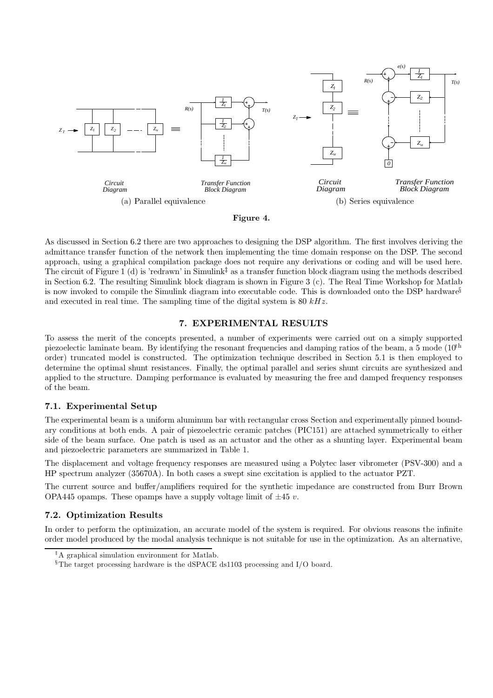

#### Figure 4.

As discussed in Section 6.2 there are two approaches to designing the DSP algorithm. The first involves deriving the admittance transfer function of the network then implementing the time domain response on the DSP. The second approach, using a graphical compilation package does not require any derivations or coding and will be used here. The circuit of Figure 1 (d) is 'redrawn' in Simulink<sup> $\ddagger$ </sup> as a transfer function block diagram using the methods described in Section 6.2. The resulting Simulink block diagram is shown in Figure 3 (c). The Real Time Workshop for Matlab is now invoked to compile the Simulink diagram into executable code. This is downloaded onto the DSP hardware<sup>§</sup> and executed in real time. The sampling time of the digital system is 80  $kHz$ .

# 7. EXPERIMENTAL RESULTS

To assess the merit of the concepts presented, a number of experiments were carried out on a simply supported piezoelectic laminate beam. By identifying the resonant frequencies and damping ratios of the beam, a 5 mode  $(10^{th}$ order) truncated model is constructed. The optimization technique described in Section 5.1 is then employed to determine the optimal shunt resistances. Finally, the optimal parallel and series shunt circuits are synthesized and applied to the structure. Damping performance is evaluated by measuring the free and damped frequency responses of the beam.

# 7.1. Experimental Setup

The experimental beam is a uniform aluminum bar with rectangular cross Section and experimentally pinned boundary conditions at both ends. A pair of piezoelectric ceramic patches (PIC151) are attached symmetrically to either side of the beam surface. One patch is used as an actuator and the other as a shunting layer. Experimental beam and piezoelectric parameters are summarized in Table 1.

The displacement and voltage frequency responses are measured using a Polytec laser vibrometer (PSV-300) and a HP spectrum analyzer  $(35670)$ . In both cases a swept sine excitation is applied to the actuator PZT.

The current source and buffer/amplifiers required for the synthetic impedance are constructed from Burr Brown OPA445 opamps. These opamps have a supply voltage limit of  $\pm 45$  v.

# 7.2. Optimization Results

In order to perform the optimization, an accurate model of the system is required. For obvious reasons the infinite order model produced by the modal analysis technique is not suitable for use in the optimization. As an alternative,

<sup>&</sup>lt;sup>‡</sup>A graphical simulation environment for Matlab.

 $$$ The target processing hardware is the dSPACE ds1103 processing and I/O board.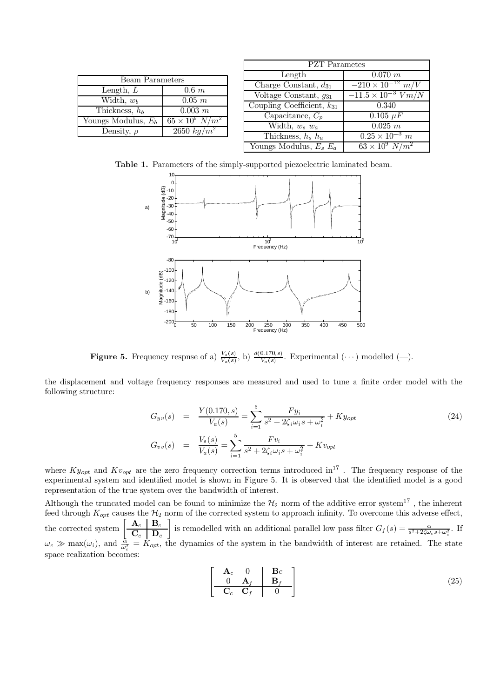|                                           |                          | <b>PZT</b> Parametes                         |                                     |  |
|-------------------------------------------|--------------------------|----------------------------------------------|-------------------------------------|--|
| <b>Beam Parameters</b>                    |                          | Length                                       | 0.070 m                             |  |
| Length, $L$                               | $0.6\;m$                 | Charge Constant, $d_{31}$                    | $-210 \times 10^{-12}$ $m/V$        |  |
| Width, $w_b$                              | $0.05$ $m$               | $\sqrt{\text{U}}$ Voltage Constant, $q_{31}$ | $-11.5 \times 10^{-3}$ $Vm/N$       |  |
| Thickness, $h_b$                          | $0.003\ m$               | Coupling Coefficient, $k_{31}$               | 0.340                               |  |
| $\overline{\text{Youngs}}$ Modulus, $E_b$ | $65 \times 10^9 \ N/m^2$ | Capacitance, $C_p$                           | $0.105 \mu F$                       |  |
|                                           | $2650\ kg/m^2$           | Width, $w_s w_a$                             | 0.025 m                             |  |
| Density, $\rho$                           | Thickness, $h_s$ $h_a$   | $0.25 \times 10^{-3}$ m                      |                                     |  |
|                                           |                          | Youngs Modulus, $E_e$ , $E_e$                | $63 \times 10^{9}$ N/m <sup>2</sup> |  |

Table 1. Parameters of the simply-supported piezoelectric laminated beam.



**Figure 5.** Frequency respnse of a)  $\frac{V_s(s)}{V_a(s)}$ , b)  $\frac{d(0.170,s)}{V_a(s)}$ . Experimental  $(\cdots)$  modelled  $(\cdots)$ .

the displacement and voltage frequency responses are measured and used to tune a finite order model with the following structure:

$$
G_{yv}(s) = \frac{Y(0.170, s)}{V_a(s)} = \sum_{i=1}^{5} \frac{F y_i}{s^2 + 2\zeta_i \omega_i s + \omega_i^2} + K y_{opt}
$$
\n
$$
G_{vv}(s) = \frac{V_s(s)}{V_a(s)} = \sum_{i=1}^{5} \frac{F v_i}{s^2 + 2\zeta_i \omega_i s + \omega_i^2} + K v_{opt}
$$
\n(24)

where  $Ky_{opt}$  and  $Kv_{opt}$  are the zero frequency correction terms introduced in<sup>17</sup>. The frequency response of the experimental system and identified model is shown in Figure 5. It is observed that the identified model is a good representation of the true system over the bandwidth of interest.

Although the truncated model can be found to minimize the  $\mathcal{H}_2$  norm of the additive error system<sup>17</sup>, the inherent feed through  $K_{opt}$  causes the  $H_2$  norm of the corrected system to approach infinity. To overcome this adverse effect,<br>the corrected system  $\left[\begin{array}{c} \mathbf{A}_c \ \mathbf{B}_c \end{array}\right]$  is remodelled with an additional parallel low  $\omega_c \gg \max(\omega_i)$ , and  $\frac{\dot{\alpha}}{\omega_c^2} = \dot{K}_{opt}$ , the dynamics of the system in the bandwidth of interest are retained. The state space realization becomes:

$$
\begin{bmatrix}\n\mathbf{A}_c & 0 & \mathbf{B}c \\
0 & \mathbf{A}_f & \mathbf{B}_f \\
\hline\n\mathbf{C}_c & \mathbf{C}_f & 0\n\end{bmatrix}
$$
\n(25)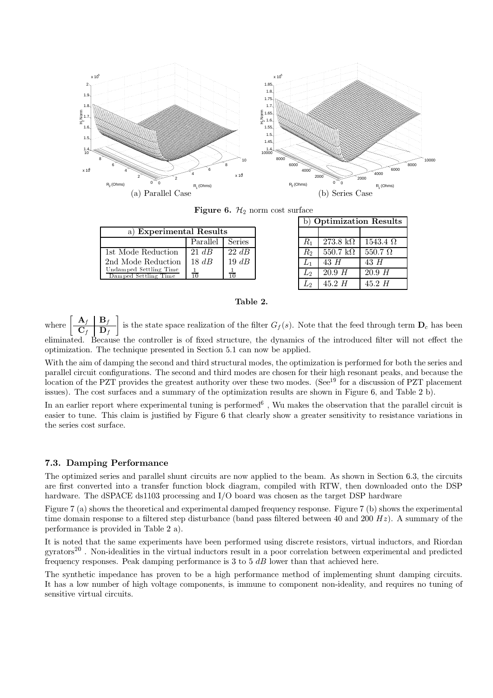

**Figure 6.**  $\mathcal{H}_2$  norm cost surface

| a) Experimental Results                        |                   |            |  |
|------------------------------------------------|-------------------|------------|--|
|                                                | Parallel   Series |            |  |
| 1st Mode Reduction                             | $21 \; dB$        | $22 \; dB$ |  |
| 2nd Mode Reduction                             | $18 \; dB$        | $19 \; dB$ |  |
| Undamped Settling Time<br>Damped Settling Time | $\frac{1}{10}$    |            |  |

| b) Optimization Results |                  |                  |  |  |
|-------------------------|------------------|------------------|--|--|
|                         |                  |                  |  |  |
| $R_1$                   | $273.8\;k\Omega$ | $1543.4\ \Omega$ |  |  |
| $R_2$                   | $550.7\;k\Omega$ | $550.7\ \Omega$  |  |  |
| $L_1$                   | $43\ H$          | 43H              |  |  |
| $L_{2}$                 | 20.9H            | 20.9H            |  |  |
| Lo                      | $45.2\ H$        | 45.2H            |  |  |

# Table 2.

 $\left[\begin{array}{c|c}\n\mathbf{A}_f & \mathbf{B}_f \\
\hline\n\mathbf{C}_f & \mathbf{D}_f\n\end{array}\right]$  is the state space realization of the filter  $G_f(s)$ . Note that the feed through term  $\mathbf{D}_c$  has been  $% \left\vert \mathcal{L}_{\mathcal{A}}\right\vert$  where eliminated. Because the controller is of fixed structure, the dynamics of the introduced filter will not effect the optimization. The technique presented in Section 5.1 can now be applied.

With the aim of damping the second and third structural modes, the optimization is performed for both the series and parallel circuit configurations. The second and third modes are chosen for their high resonant peaks, and because the location of the PZT provides the greatest authority over these two modes. (See<sup>19</sup> for a discussion of PZT placement issues). The cost surfaces and a summary of the optimization results are shown in Figure 6, and Table 2 b).

In an earlier report where experimental tuning is performed<sup>6</sup>, Wu makes the observation that the parallel circuit is easier to tune. This claim is justified by Figure 6 that clearly show a greater sensitivity to resistance variations in the series cost surface.

## 7.3. Damping Performance

The optimized series and parallel shunt circuits are now applied to the beam. As shown in Section 6.3, the circuits are first converted into a transfer function block diagram, compiled with RTW, then downloaded onto the DSP hardware. The dSPACE ds1103 processing and I/O board was chosen as the target DSP hardware

Figure 7 (a) shows the theoretical and experimental damped frequency response. Figure 7 (b) shows the experimental time domain response to a filtered step disturbance (band pass filtered between 40 and 200  $Hz$ ). A summary of the performance is provided in Table 2 a).

It is noted that the same experiments have been performed using discrete resistors, virtual inductors, and Riordan  $\text{gyrators}^{20}$ . Non-idealities in the virtual inductors result in a poor correlation between experimental and predicted frequency responses. Peak damping performance is 3 to  $5$  dB lower than that achieved here.

The synthetic impedance has proven to be a high performance method of implementing shunt damping circuits. It has a low number of high voltage components, is immune to component non-ideality, and requires no tuning of sensitive virtual circuits.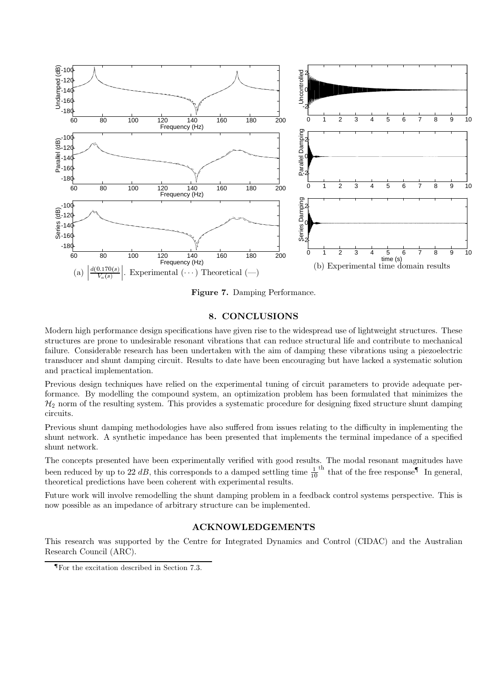

Figure 7. Damping Performance.

## 8. CONCLUSIONS

Modern high performance design specifications have given rise to the widespread use of lightweight structures. These structures are prone to undesirable resonant vibrations that can reduce structural life and contribute to mechanical failure. Considerable research has been undertaken with the aim of damping these vibrations using a piezoelectric transducer and shunt damping circuit. Results to date have been encouraging but have lacked a systematic solution and practical implementation.

Previous design techniques have relied on the experimental tuning of circuit parameters to provide adequate performance. By modelling the compound system, an optimization problem has been formulated that minimizes the  $\mathcal{H}_2$  norm of the resulting system. This provides a systematic procedure for designing fixed structure shunt damping circuits.

Previous shunt damping methodologies have also suffered from issues relating to the difficulty in implementing the shunt network. A synthetic impedance has been presented that implements the terminal impedance of a specified shunt network.

The concepts presented have been experimentally verified with good results. The modal resonant magnitudes have been reduced by up to 22 dB, this corresponds to a damped settling time  $\frac{1}{10}$ <sup>th</sup> that of the free response<sup>¶</sup> In general, theoretical predictions have been coherent with experimental results.

Future work will involve remodelling the shunt damping problem in a feedback control systems perspective. This is now possible as an impedance of arbitrary structure can be implemented.

# **ACKNOWLEDGEMENTS**

This research was supported by the Centre for Integrated Dynamics and Control (CIDAC) and the Australian Research Council (ARC).

 $\P$ For the excitation described in Section 7.3.